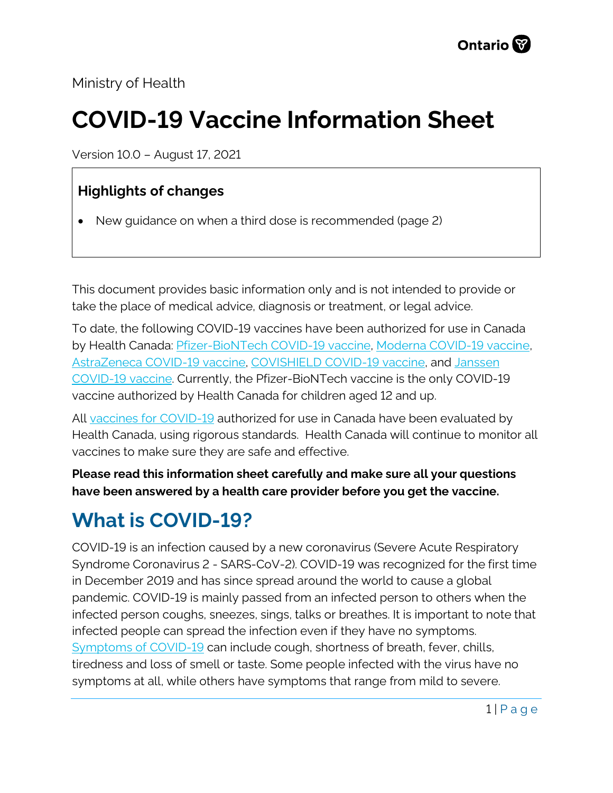Ministry of Health

# **COVID-19 Vaccine Information Sheet**

Version 10.0 – August 17, 2021

#### **Highlights of changes**

• New guidance on when a third dose is recommended (page 2)

This document provides basic information only and is not intended to provide or take the place of medical advice, diagnosis or treatment, or legal advice.

To date, the following COVID-19 vaccines have been authorized for use in Canada by Health Canada: [Pfizer-BioNTech COVID-19 vaccine,](https://covid-vaccine.canada.ca/pfizer-biontech-covid-19-vaccine/product-details) [Moderna COVID-19 vaccine,](https://covid-vaccine.canada.ca/covid-19-vaccine-moderna/product-details)  [AstraZeneca COVID-19 vaccine,](https://covid-vaccine.canada.ca/astrazeneca-covid-19-vaccine/product-details) [COVISHIELD COVID-19 vaccine,](https://covid-vaccine.canada.ca/covishield/product-details) and [Janssen](https://covid-vaccine.canada.ca/janssen-covid-19-vaccine/product-details)  [COVID-19 vaccine.](https://covid-vaccine.canada.ca/janssen-covid-19-vaccine/product-details) Currently, the Pfizer-BioNTech vaccine is the only COVID-19 vaccine authorized by Health Canada for children aged 12 and up.

All [vaccines for COVID-19](https://www.canada.ca/en/public-health/services/diseases/coronavirus-disease-covid-19/vaccines.htm) authorized for use in Canada have been evaluated by Health Canada, using rigorous standards. Health Canada will continue to monitor all vaccines to make sure they are safe and effective.

**Please read this information sheet carefully and make sure all your questions have been answered by a health care provider before you get the vaccine.**

# **What is COVID-19?**

COVID-19 is an infection caused by a new coronavirus (Severe Acute Respiratory Syndrome Coronavirus 2 - SARS-CoV-2). COVID-19 was recognized for the first time in December 2019 and has since spread around the world to cause a global pandemic. COVID-19 is mainly passed from an infected person to others when the infected person coughs, sneezes, sings, talks or breathes. It is important to note that infected people can spread the infection even if they have no symptoms. [Symptoms of COVID-19](https://www.canada.ca/en/public-health/services/diseases/2019-novel-coronavirus-infection/symptoms.html) can include cough, shortness of breath, fever, chills, tiredness and loss of smell or taste. Some people infected with the virus have no symptoms at all, while others have symptoms that range from mild to severe.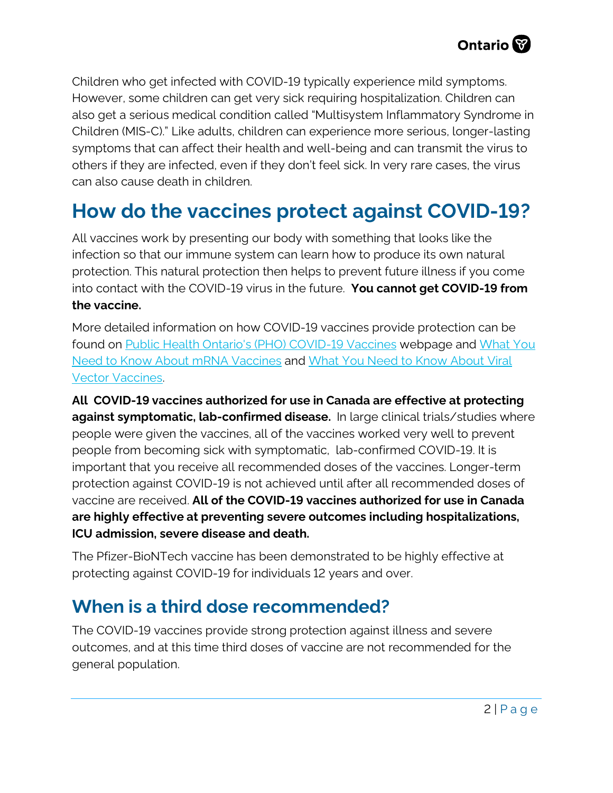Children who get infected with COVID-19 typically experience mild symptoms. However, some children can get very sick requiring hospitalization. Children can also get a serious medical condition called "Multisystem Inflammatory Syndrome in Children (MIS-C)." Like adults, children can experience more serious, longer-lasting symptoms that can affect their health and well-being and can transmit the virus to others if they are infected, even if they don't feel sick. In very rare cases, the virus can also cause death in children.

## **How do the vaccines protect against COVID-19?**

All vaccines work by presenting our body with something that looks like the infection so that our immune system can learn how to produce its own natural protection. This natural protection then helps to prevent future illness if you come into contact with the COVID-19 virus in the future. **You cannot get COVID-19 from the vaccine.**

More detailed information on how COVID-19 vaccines provide protection can be found on [Public Health Ontario's \(PHO\) COVID-19 Vaccines](https://www.publichealthontario.ca/en/diseases-and-conditions/infectious-diseases/respiratory-diseases/novel-coronavirus/vaccines) webpage and [What You](https://www.publichealthontario.ca/-/media/documents/ncov/factsheet/2021/01/vac/factsheet-covid-19-vaccines.pdf?la=en)  [Need to Know About mRNA](https://www.publichealthontario.ca/-/media/documents/ncov/factsheet/2021/01/vac/factsheet-covid-19-vaccines.pdf?la=en) Vaccines and [What You Need to Know About Viral](https://www.publichealthontario.ca/-/media/documents/ncov/vaccines/2021/04/covid-19-fact-sheet-viral-vector-vaccines.pdf?la=en)  [Vector Vaccines.](https://www.publichealthontario.ca/-/media/documents/ncov/vaccines/2021/04/covid-19-fact-sheet-viral-vector-vaccines.pdf?la=en) 

**All COVID-19 vaccines authorized for use in Canada are effective at protecting against symptomatic, lab-confirmed disease.** In large clinical trials/studies where people were given the vaccines, all of the vaccines worked very well to prevent people from becoming sick with symptomatic, lab-confirmed COVID-19. It is important that you receive all recommended doses of the vaccines. Longer-term protection against COVID-19 is not achieved until after all recommended doses of vaccine are received. **All of the COVID-19 vaccines authorized for use in Canada are highly effective at preventing severe outcomes including hospitalizations, ICU admission, severe disease and death.**

The Pfizer-BioNTech vaccine has been demonstrated to be highly effective at protecting against COVID-19 for individuals 12 years and over.

#### **When is a third dose recommended?**

The COVID-19 vaccines provide strong protection against illness and severe outcomes, and at this time third doses of vaccine are not recommended for the general population.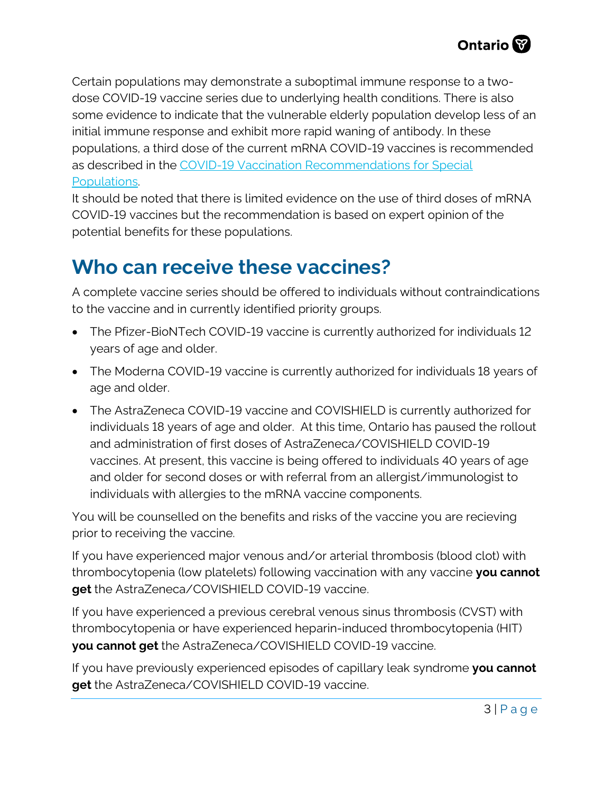Certain populations may demonstrate a suboptimal immune response to a twodose COVID-19 vaccine series due to underlying health conditions. There is also some evidence to indicate that the vulnerable elderly population develop less of an initial immune response and exhibit more rapid waning of antibody. In these populations, a third dose of the current mRNA COVID-19 vaccines is recommended as described in the [COVID-19 Vaccination Recommendations for Special](https://www.health.gov.on.ca/en/pro/programs/publichealth/coronavirus/docs/vaccine/COVID-19_vaccination_rec_special_populations.pdf)  [Populations.](https://www.health.gov.on.ca/en/pro/programs/publichealth/coronavirus/docs/vaccine/COVID-19_vaccination_rec_special_populations.pdf) 

It should be noted that there is limited evidence on the use of third doses of mRNA COVID-19 vaccines but the recommendation is based on expert opinion of the potential benefits for these populations.

#### **Who can receive these vaccines?**

A complete vaccine series should be offered to individuals without contraindications to the vaccine and in currently identified priority groups.

- The Pfizer-BioNTech COVID-19 vaccine is currently authorized for individuals 12 years of age and older.
- The Moderna COVID-19 vaccine is currently authorized for individuals 18 years of age and older.
- The AstraZeneca COVID-19 vaccine and COVISHIELD is currently authorized for individuals 18 years of age and older. At this time, Ontario has paused the rollout and administration of first doses of AstraZeneca/COVISHIFLD COVID-19 vaccines. At present, this vaccine is being offered to individuals 40 years of age and older for second doses or with referral from an allergist/immunologist to individuals with allergies to the mRNA vaccine components.

You will be counselled on the benefits and risks of the vaccine you are recieving prior to receiving the vaccine.

If you have experienced major venous and/or arterial thrombosis (blood clot) with thrombocytopenia (low platelets) following vaccination with any vaccine **you cannot get** the AstraZeneca/COVISHIELD COVID-19 vaccine.

If you have experienced a previous cerebral venous sinus thrombosis (CVST) with thrombocytopenia or have experienced heparin-induced thrombocytopenia (HIT) **you cannot get** the AstraZeneca/COVISHIELD COVID-19 vaccine.

If you have previously experienced episodes of capillary leak syndrome **you cannot get** the AstraZeneca/COVISHIELD COVID-19 vaccine.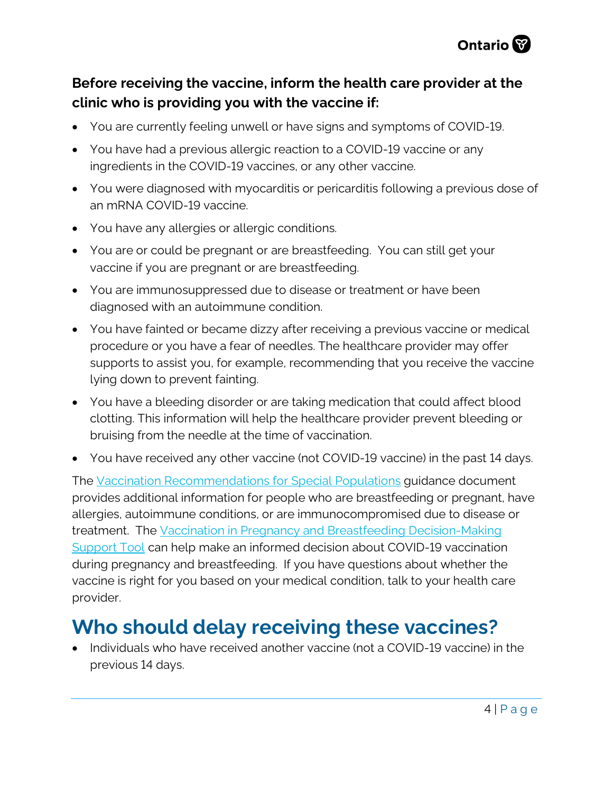

#### **Before receiving the vaccine, inform the health care provider at the clinic who is providing you with the vaccine if:**

- You are currently feeling unwell or have signs and symptoms of COVID-19.
- You have had a previous allergic reaction to a COVID-19 vaccine or any ingredients in the COVID-19 vaccines, or any other vaccine.
- You were diagnosed with myocarditis or pericarditis following a previous dose of an mRNA COVID-19 vaccine.
- You have any allergies or allergic conditions.
- You are or could be pregnant or are breastfeeding. You can still get your vaccine if you are pregnant or are breastfeeding.
- You are immunosuppressed due to disease or treatment or have been diagnosed with an autoimmune condition.
- You have fainted or became dizzy after receiving a previous vaccine or medical procedure or you have a fear of needles. The healthcare provider may offer supports to assist you, for example, recommending that you receive the vaccine lying down to prevent fainting.
- You have a bleeding disorder or are taking medication that could affect blood clotting. This information will help the healthcare provider prevent bleeding or bruising from the needle at the time of vaccination.
- You have received any other vaccine (not COVID-19 vaccine) in the past 14 days.

The [Vaccination Recommendations for Special Populations](https://www.health.gov.on.ca/en/pro/programs/publichealth/coronavirus/docs/vaccine/COVID-19_vaccination_rec_special_populations.pdf) guidance document provides additional information for people who are breastfeeding or pregnant, have allergies, autoimmune conditions, or are immunocompromised due to disease or treatment. The [Vaccination in Pregnancy and Breastfeeding Decision-Making](https://www.health.gov.on.ca/en/pro/programs/publichealth/coronavirus/docs/vaccine/COVID-19_vaccination_pregnancy_decision_making_support_tool.pdf) [Support Tool](https://www.health.gov.on.ca/en/pro/programs/publichealth/coronavirus/docs/vaccine/COVID-19_vaccination_pregnancy_decision_making_support_tool.pdf) can help make an informed decision about COVID-19 vaccination during pregnancy and breastfeeding. If you have questions about whether the vaccine is right for you based on your medical condition, talk to your health care provider.

## **Who should delay receiving these vaccines?**

• Individuals who have received another vaccine (not a COVID-19 vaccine) in the previous 14 days.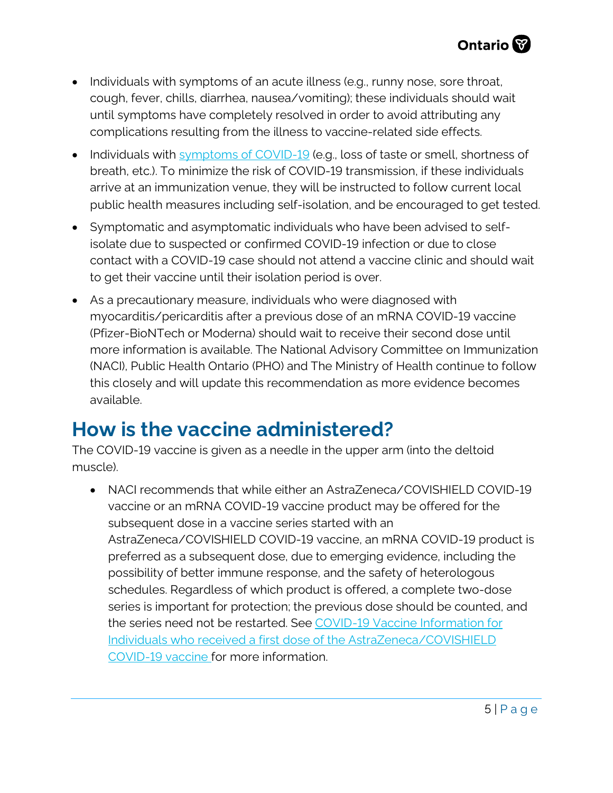- Individuals with symptoms of an acute illness (e.g., runny nose, sore throat, cough, fever, chills, diarrhea, nausea/vomiting); these individuals should wait until symptoms have completely resolved in order to avoid attributing any complications resulting from the illness to vaccine-related side effects.
- Individuals with [symptoms of COVID-19](https://www.canada.ca/en/public-health/services/diseases/2019-novel-coronavirus-infection/symptoms.html?utm_campaign=hc-sc-phm-21-22&utm_medium=sem&utm_source=ggl-grant&utm_content=ad-text-en&utm_term=coronavirus&adv=2122-0008&id_campaign=12663558361&id_source=119762101589&id_content=511679450570) (e.g., loss of taste or smell, shortness of breath, etc.). To minimize the risk of COVID-19 transmission, if these individuals arrive at an immunization venue, they will be instructed to follow current local public health measures including self-isolation, and be encouraged to get tested.
- Symptomatic and asymptomatic individuals who have been advised to selfisolate due to suspected or confirmed COVID-19 infection or due to close contact with a COVID-19 case should not attend a vaccine clinic and should wait to get their vaccine until their isolation period is over.
- As a precautionary measure, individuals who were diagnosed with myocarditis/pericarditis after a previous dose of an mRNA COVID-19 vaccine (Pfizer-BioNTech or Moderna) should wait to receive their second dose until more information is available. The National Advisory Committee on Immunization (NACI), Public Health Ontario (PHO) and The Ministry of Health continue to follow this closely and will update this recommendation as more evidence becomes available.

#### **How is the vaccine administered?**

The COVID-19 vaccine is given as a needle in the upper arm (into the deltoid muscle).

• NACI recommends that while either an AstraZeneca/COVISHIELD COVID-19 vaccine or an mRNA COVID-19 vaccine product may be offered for the subsequent dose in a vaccine series started with an AstraZeneca/COVISHIELD COVID-19 vaccine, an mRNA COVID-19 product is preferred as a subsequent dose, due to emerging evidence, including the possibility of better immune response, and the safety of heterologous schedules. Regardless of which product is offered, a complete two-dose series is important for protection; the previous dose should be counted, and the series need not be restarted. See [COVID-19 Vaccine Information for](https://www.health.gov.on.ca/en/pro/programs/publichealth/coronavirus/docs/vaccine/COVID-19_vaccine_info_AZ_2nd_dose.pdf)  [Individuals who received a first dose of the AstraZeneca/COVISHIELD](https://www.health.gov.on.ca/en/pro/programs/publichealth/coronavirus/docs/vaccine/COVID-19_vaccine_info_AZ_2nd_dose.pdf)  [COVID-19 vaccine f](https://www.health.gov.on.ca/en/pro/programs/publichealth/coronavirus/docs/vaccine/COVID-19_vaccine_info_AZ_2nd_dose.pdf)or more information.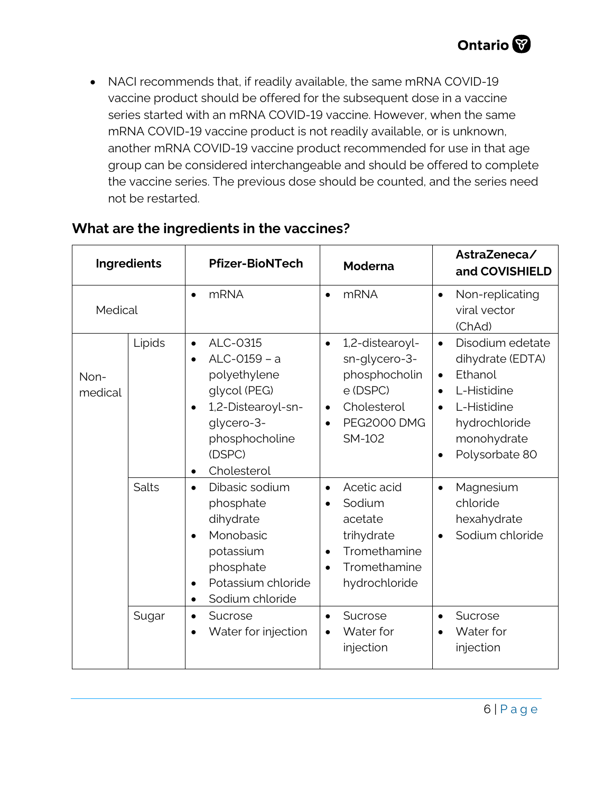• NACI recommends that, if readily available, the same mRNA COVID-19 vaccine product should be offered for the subsequent dose in a vaccine series started with an mRNA COVID-19 vaccine. However, when the same mRNA COVID-19 vaccine product is not readily available, or is unknown, another mRNA COVID-19 vaccine product recommended for use in that age group can be considered interchangeable and should be offered to complete the vaccine series. The previous dose should be counted, and the series need not be restarted.

| Ingredients     |        | <b>Pfizer-BioNTech</b>                                                                                                                                                         | <b>Moderna</b>                                                                                                                                      | AstraZeneca/<br>and COVISHIELD                                                                                                                                                      |
|-----------------|--------|--------------------------------------------------------------------------------------------------------------------------------------------------------------------------------|-----------------------------------------------------------------------------------------------------------------------------------------------------|-------------------------------------------------------------------------------------------------------------------------------------------------------------------------------------|
| Medical         |        | <b>mRNA</b><br>$\bullet$                                                                                                                                                       | <b>mRNA</b><br>$\bullet$                                                                                                                            | Non-replicating<br>$\bullet$<br>viral vector<br>(ChAd)                                                                                                                              |
| Non-<br>medical | Lipids | ALC-0315<br>$\bullet$<br>ALC-0159 - a<br>polyethylene<br>glycol (PEG)<br>1,2-Distearoyl-sn-<br>$\bullet$<br>glycero-3-<br>phosphocholine<br>(DSPC)<br>Cholesterol<br>$\bullet$ | 1,2-distearoyl-<br>$\bullet$<br>sn-glycero-3-<br>phosphocholin<br>e (DSPC)<br>Cholesterol<br>$\bullet$<br><b>PEG2000 DMG</b><br>$\bullet$<br>SM-102 | Disodium edetate<br>$\bullet$<br>dihydrate (EDTA)<br>Ethanol<br>$\bullet$<br>L-Histidine<br>L-Histidine<br>$\bullet$<br>hydrochloride<br>monohydrate<br>Polysorbate 80<br>$\bullet$ |
|                 | Salts  | Dibasic sodium<br>$\bullet$<br>phosphate<br>dihydrate<br>Monobasic<br>$\bullet$<br>potassium<br>phosphate<br>Potassium chloride<br>$\bullet$<br>Sodium chloride<br>$\bullet$   | Acetic acid<br>$\bullet$<br>Sodium<br>$\bullet$<br>acetate<br>trihydrate<br>Tromethamine<br>$\bullet$<br>Tromethamine<br>$\bullet$<br>hydrochloride | Magnesium<br>$\bullet$<br>chloride<br>hexahydrate<br>Sodium chloride                                                                                                                |
|                 | Sugar  | Sucrose<br>$\bullet$<br>Water for injection                                                                                                                                    | Sucrose<br>$\bullet$<br>Water for<br>injection                                                                                                      | Sucrose<br>$\bullet$<br>Water for<br>injection                                                                                                                                      |

#### **What are the ingredients in the vaccines?**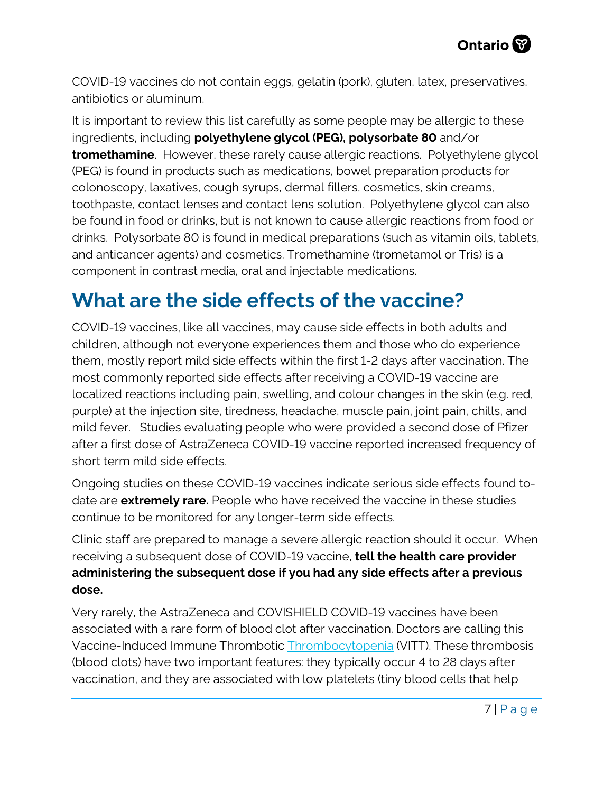COVID-19 vaccines do not contain eggs, gelatin (pork), gluten, latex, preservatives, antibiotics or aluminum.

It is important to review this list carefully as some people may be allergic to these ingredients, including **polyethylene glycol (PEG), polysorbate 80** and/or **tromethamine**. However, these rarely cause allergic reactions. Polyethylene glycol (PEG) is found in products such as medications, bowel preparation products for colonoscopy, laxatives, cough syrups, dermal fillers, cosmetics, skin creams, toothpaste, contact lenses and contact lens solution. Polyethylene glycol can also be found in food or drinks, but is not known to cause allergic reactions from food or drinks. Polysorbate 80 is found in medical preparations (such as vitamin oils, tablets, and anticancer agents) and cosmetics. Tromethamine (trometamol or Tris) is a component in contrast media, oral and injectable medications.

#### **What are the side effects of the vaccine?**

COVID-19 vaccines, like all vaccines, may cause side effects in both adults and children, although not everyone experiences them and those who do experience them, mostly report mild side effects within the first 1-2 days after vaccination. The most commonly reported side effects after receiving a COVID-19 vaccine are localized reactions including pain, swelling, and colour changes in the skin (e.g. red, purple) at the injection site, tiredness, headache, muscle pain, joint pain, chills, and mild fever. Studies evaluating people who were provided a second dose of Pfizer after a first dose of AstraZeneca COVID-19 vaccine reported increased frequency of short term mild side effects.

Ongoing studies on these COVID-19 vaccines indicate serious side effects found todate are **extremely rare.** People who have received the vaccine in these studies continue to be monitored for any longer-term side effects.

Clinic staff are prepared to manage a severe allergic reaction should it occur. When receiving a subsequent dose of COVID-19 vaccine, **tell the health care provider administering the subsequent dose if you had any side effects after a previous dose.**

Very rarely, the AstraZeneca and COVISHIELD COVID-19 vaccines have been associated with a rare form of blood clot after vaccination. Doctors are calling this Vaccine-Induced Immune Thrombotic [Thrombocytopenia](https://covid19-sciencetable.ca/sciencebrief/risk-of-vaccine-induced-thrombotic-thrombocytopenia-vitt-following-the-astrazeneca-covishield-adenovirus-vector-covid-19-vaccines/) (VITT). These thrombosis (blood clots) have two important features: they typically occur 4 to 28 days after vaccination, and they are associated with low platelets (tiny blood cells that help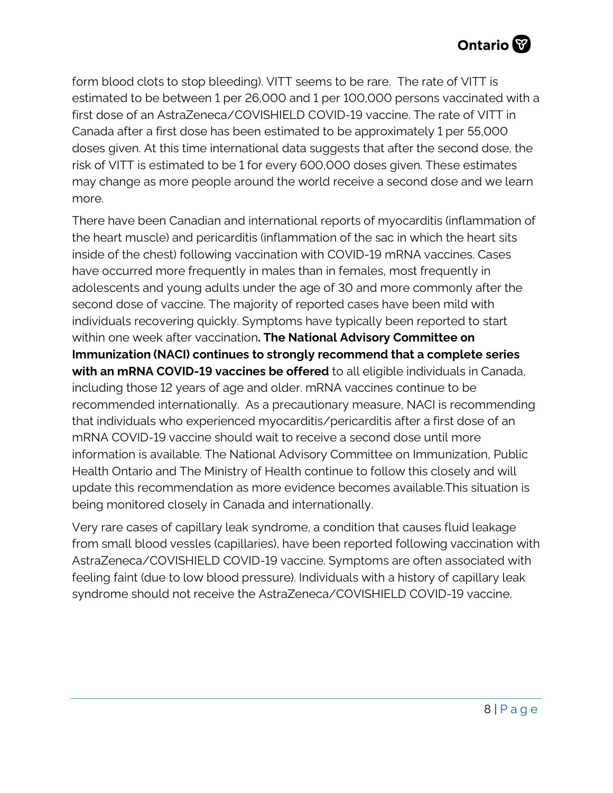form blood clots to stop bleeding). VITT seems to be rare. The rate of VITT is estimated to be between 1 per 26,000 and 1 per 100,000 persons vaccinated with a first dose of an AstraZeneca/COVISHIELD COVID-19 vaccine. The rate of VITT in Canada after a first dose has been estimated to be approximately 1 per 55,000 doses given. At this time international data suggests that after the second dose, the risk of VITT is estimated to be 1 for every 600,000 doses given. These estimates may change as more people around the world receive a second dose and we learn more.

There have been Canadian and international reports of myocarditis (inflammation of the heart muscle) and pericarditis (inflammation of the sac in which the heart sits inside of the chest) following vaccination with COVID-19 mRNA vaccines. Cases have occurred more frequently in males than in females, most frequently in adolescents and young adults under the age of 30 and more commonly after the second dose of vaccine. The majority of reported cases have been mild with individuals recovering quickly. Symptoms have typically been reported to start within one week after vaccination**. The National Advisory Committee on Immunization (NACI) continues to strongly recommend that a complete series with an mRNA COVID-19 vaccines be offered** to all eligible individuals in Canada, including those 12 years of age and older. mRNA vaccines continue to be recommended internationally. As a precautionary measure, NACI is recommending that individuals who experienced myocarditis/pericarditis after a first dose of an mRNA COVID-19 vaccine should wait to receive a second dose until more information is available. The National Advisory Committee on Immunization, Public Health Ontario and The Ministry of Health continue to follow this closely and will update this recommendation as more evidence becomes available.This situation is being monitored closely in Canada and internationally.

Very rare cases of capillary leak syndrome, a condition that causes fluid leakage from small blood vessles (capillaries), have been reported following vaccination with AstraZeneca/COVISHIELD COVID-19 vaccine. Symptoms are often associated with feeling faint (due to low blood pressure). Individuals with a history of capillary leak syndrome should not receive the AstraZeneca/COVISHIELD COVID-19 vaccine.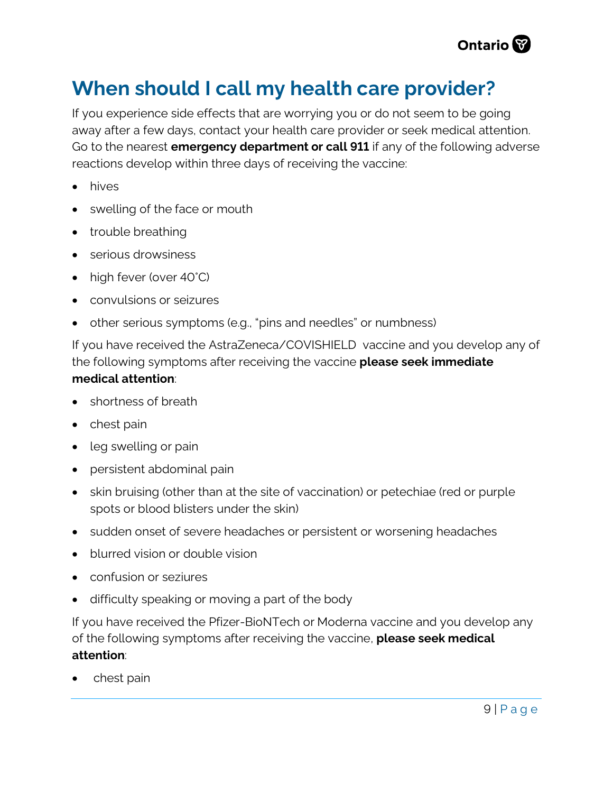

#### **When should I call my health care provider?**

If you experience side effects that are worrying you or do not seem to be going away after a few days, contact your health care provider or seek medical attention. Go to the nearest **emergency department or call 911** if any of the following adverse reactions develop within three days of receiving the vaccine:

- hives
- swelling of the face or mouth
- trouble breathing
- serious drowsiness
- high fever (over 40°C)
- convulsions or seizures
- other serious symptoms (e.g., "pins and needles" or numbness)

If you have received the AstraZeneca/COVISHIELD vaccine and you develop any of the following symptoms after receiving the vaccine **please seek immediate medical attention**:

- shortness of breath
- chest pain
- leg swelling or pain
- persistent abdominal pain
- skin bruising (other than at the site of vaccination) or petechiae (red or purple spots or blood blisters under the skin)
- sudden onset of severe headaches or persistent or worsening headaches
- blurred vision or double vision
- confusion or seziures
- difficulty speaking or moving a part of the body

If you have received the Pfizer-BioNTech or Moderna vaccine and you develop any of the following symptoms after receiving the vaccine, **please seek medical attention**:

• chest pain